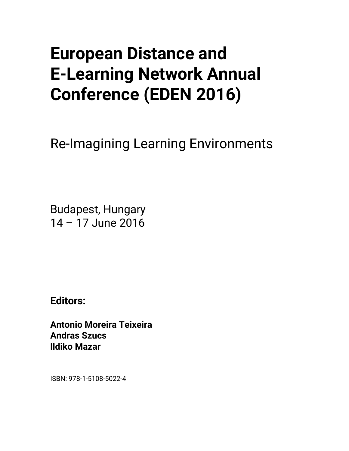# **European Distance and E-Learning Network Annual Conference (EDEN 2016)**

Re-Imagining Learning Environments

Budapest, Hungary 14 – 17 June 2016

**Editors:** 

**Antonio Moreira Teixeira Andras Szucs lldiko Mazar** 

ISBN: 978-1-5108-5022-4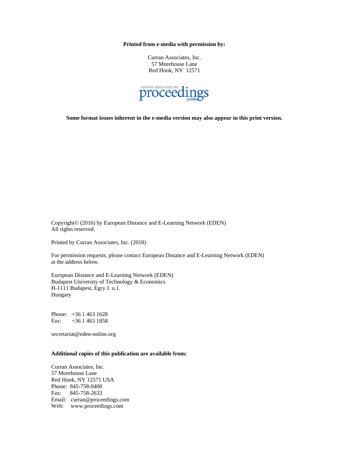**Printed from e-media with permission by:** 

Curran Associates, Inc. 57 Morehouse Lane Red Hook, NY 12571



**Some format issues inherent in the e-media version may also appear in this print version.** 

Copyright© (2016) by European Distance and E-Learning Network (EDEN) All rights reserved.

Printed by Curran Associates, Inc. (2018)

For permission requests, please contact European Distance and E-Learning Network (EDEN) at the address below.

European Distance and E-Learning Network (EDEN) Budapest University of Technology & Economics H-1111 Budapest, Egry J. u.1. Hungary

Phone: +36 1 463 1628 Fax: +36 1 463 1858

secretariat@eden-online.org

#### **Additional copies of this publication are available from:**

Curran Associates, Inc. 57 Morehouse Lane Red Hook, NY 12571 USA Phone: 845-758-0400 Fax: 845-758-2633 Email: curran@proceedings.com Web: www.proceedings.com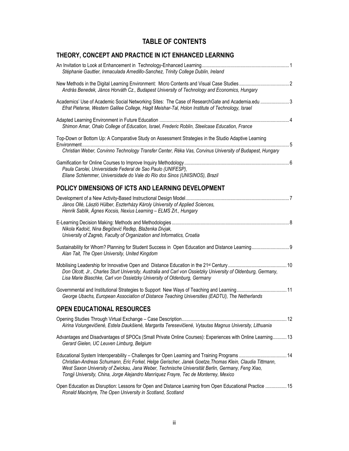# **TABLE OF CONTENTS**

# **THEORY, CONCEPT AND PRACTICE IN ICT ENHANCED LEARNING**

| Stéphanie Gauttier, Inmaculada Arnedillo-Sanchez, Trinity College Dublin, Ireland                                                                                                                                                                                                                                                                                                                   |
|-----------------------------------------------------------------------------------------------------------------------------------------------------------------------------------------------------------------------------------------------------------------------------------------------------------------------------------------------------------------------------------------------------|
| András Benedek, János Horváth Cz., Budapest University of Technology and Economics, Hungary                                                                                                                                                                                                                                                                                                         |
| Academics' Use of Academic Social Networking Sites: The Case of ResearchGate and Academia.edu 3<br>Efrat Pieterse, Western Galilee College, Hagit Meishar-Tal, Holon Institute of Technology, Israel                                                                                                                                                                                                |
| Shimon Amar, Ohalo College of Education, Israel, Frederic Roblin, Steelcase Education, France                                                                                                                                                                                                                                                                                                       |
| Top-Down or Bottom Up: A Comparative Study on Assessment Strategies in the Studio Adaptive Learning<br>Christian Weber, Corvinno Technology Transfer Center, Réka Vas, Corvinus University of Budapest, Hungary                                                                                                                                                                                     |
| Paula Carolei, Universidade Federal de Sao Paulo (UNIFESP),<br>Eliane Schlemmer, Universidade do Vale do Rio dos Sinos (UNISINOS), Brazil                                                                                                                                                                                                                                                           |
| POLICY DIMENSIONS OF ICTS AND LEARNING DEVELOPMENT                                                                                                                                                                                                                                                                                                                                                  |
| János Ollé, László Hülber, Eszterházy Károly University of Applied Sciences,<br>Henrik Sablik, Ágnes Kocsis, Nexius Learning - ELMS Zrt., Hungary                                                                                                                                                                                                                                                   |
| Nikola Kadoić, Nina Begičević Ređep, Blaženka Divjak,<br>University of Zagreb, Faculty of Organization and Informatics, Croatia                                                                                                                                                                                                                                                                     |
| Alan Tait, The Open University, United Kingdom                                                                                                                                                                                                                                                                                                                                                      |
| Don Olcott, Jr., Charles Sturt University, Australia and Carl von Ossietzky University of Oldenburg, Germany,<br>Lisa Marie Blaschke, Carl von Ossietzky University of Oldenburg, Germany                                                                                                                                                                                                           |
| George Ubachs, European Association of Distance Teaching Universities (EADTU), The Netherlands                                                                                                                                                                                                                                                                                                      |
| <b>OPEN EDUCATIONAL RESOURCES</b>                                                                                                                                                                                                                                                                                                                                                                   |
| Airina Volungevičienė, Estela Daukšienė, Margarita Teresevičienė, Vytautas Magnus University, Lithuania                                                                                                                                                                                                                                                                                             |
| Advantages and Disadvantages of SPOCs (Small Private Online Courses): Experiences with Online Learning 13<br>Gerard Gielen, UC Leuven Limburg, Belgium                                                                                                                                                                                                                                              |
| Educational System Interoperability - Challenges for Open Learning and Training Programs  14<br>Christian-Andreas Schumann, Eric Forkel, Helge Gerischer, Janek Goetze, Thomas Klein, Claudia Tittmann,<br>West Saxon University of Zwickau, Jana Weber, Technische Universität Berlin, Germany, Feng Xiao,<br>Tongji University, China, Jorge Alejandro Manríquez Frayre, Tec de Monterrey, Mexico |
| Open Education as Disruption: Lessons for Open and Distance Learning from Open Educational Practice  15                                                                                                                                                                                                                                                                                             |

*Ronald Macintyre, The Open University in Scotland, Scotland*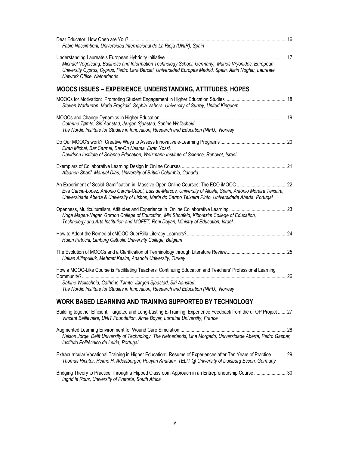| Fabio Nascimbeni, Universidad Internacional de La Rioja (UNIR), Spain                                                                                                                                                                                                   |  |
|-------------------------------------------------------------------------------------------------------------------------------------------------------------------------------------------------------------------------------------------------------------------------|--|
| Michael Vogelsang, Business and Information Technology School, Germany, Marios Vryonides, European<br>University Cyprus, Cyprus, Pedro Lara Bercial, Universidad Europea Madrid, Spain, Alain Noghiu, Laureate<br>Network Office, Netherlands                           |  |
| MOOCS ISSUES - EXPERIENCE, UNDERSTANDING, ATTITUDES, HOPES                                                                                                                                                                                                              |  |
| Steven Warburton, Maria Fragkaki, Sophia Vahora, University of Surrey, United Kingdom                                                                                                                                                                                   |  |
| Cathrine Tømte, Siri Aanstad, Jørgen Sjaastad, Sabine Wollscheid,<br>The Nordic Institute for Studies in Innovation, Research and Education (NIFU), Norway                                                                                                              |  |
| Elran Michal, Bar Carmel, Bar-On Naama, Elran Yossi,<br>Davidson Institute of Science Education, Weizmann Institute of Science, Rehovot, Israel                                                                                                                         |  |
| Afsaneh Sharif, Manuel Dias, University of British Columbia, Canada                                                                                                                                                                                                     |  |
| Eva Garcia-Lopez, Antonio Garcia-Cabot, Luis de-Marcos, University of Alcala, Spain, António Moreira Teixeira,<br>Universidade Aberta & University of Lisbon, Maria do Carmo Teixeira Pinto, Universidade Aberta, Portugal                                              |  |
| Noga Magen-Nagar, Gordon College of Education, Miri Shonfeld, Kibbutzim College of Education,<br>Technology and Arts Institution and MOFET, Roni Dayan, Ministry of Education, Israel                                                                                   |  |
| Huion Patricia, Limburg Catholic University College, Belgium                                                                                                                                                                                                            |  |
| Hakan Altinpulluk, Mehmet Kesim, Anadolu University, Turkey                                                                                                                                                                                                             |  |
| How a MOOC-Like Course is Facilitating Teachers' Continuing Education and Teachers' Professional Learning<br>Sabine Wollscheid, Cathrine Tømte, Jørgen Sjaastad, Siri Aanstad,<br>The Nordic Institute for Studies in Innovation, Research and Education (NIFU), Norway |  |
| WORK BASED LEARNING AND TRAINING SUPPORTED BY TECHNOLOGY                                                                                                                                                                                                                |  |
| Building together Efficient, Targeted and Long-Lasting E-Training: Experience Feedback from the uTOP Project  27<br>Vincent Beillevaire, UNIT Foundation, Anne Boyer, Lorraine University, France                                                                       |  |
| Nelson Jorge, Delft University of Technology, The Netherlands, Lina Morgado, Universidade Aberta, Pedro Gaspar,<br>Instituto Politécnico de Leiria, Portugal                                                                                                            |  |
| Extracurricular Vocational Training in Higher Education: Resume of Experiences after Ten Years of Practice  29<br>Thomas Richter, Heimo H. Adelsberger, Pouyan Khatami, TELIT @ University of Duisburg Essen, Germany                                                   |  |
| Bridging Theory to Practice Through a Flipped Classroom Approach in an Entrepreneurship Course 30<br>Ingrid le Roux, University of Pretoria, South Africa                                                                                                               |  |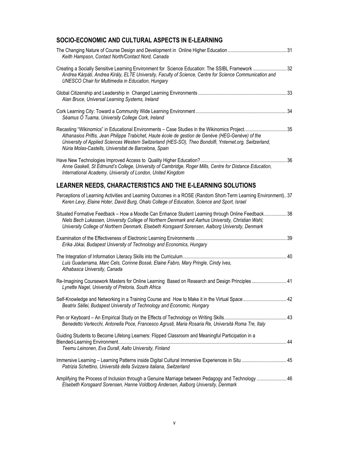## **SOCIO-ECONOMIC AND CULTURAL ASPECTS IN E-LEARNING**

| Keith Hampson, Contact North/Contact Nord, Canada                                                                                                                                                                                                                                                                                                                     |  |
|-----------------------------------------------------------------------------------------------------------------------------------------------------------------------------------------------------------------------------------------------------------------------------------------------------------------------------------------------------------------------|--|
| Creating a Socially Sensitive Learning Environment for Science Education: The SSIBL Framework  32<br>Andrea Kárpáti, Andrea Király, ELTE University, Faculty of Science, Centre for Science Communication and<br><b>UNESCO Chair for Multimedia in Education, Hungary</b>                                                                                             |  |
| Alan Bruce, Universal Learning Systems, Ireland                                                                                                                                                                                                                                                                                                                       |  |
| Séamus Ó Tuama, University College Cork, Ireland                                                                                                                                                                                                                                                                                                                      |  |
| Recasting "Wikinomics" in Educational Environments - Case Studies in the Wikinomics Project35<br>Athanasios Priftis, Jean Philippe Trabichet, Haute école de gestion de Genève (HEG-Genève) of the<br>University of Applied Sciences Western Switzerland (HES-SO), Theo Bondolfi, Ynternet.org, Switzerland,<br>Núria Molas-Castells, Universitat de Barcelona, Spain |  |
| Anne Gaskell, St Edmund's College, University of Cambridge, Roger Mills, Centre for Distance Education,<br>International Academy, University of London, United Kingdom                                                                                                                                                                                                |  |
| LEARNER NEEDS, CHARACTERISTICS AND THE E-LEARNING SOLUTIONS                                                                                                                                                                                                                                                                                                           |  |
| Perceptions of Learning Activities and Learning Outcomes in a ROSE (Random Short-Term Learning Environment) 37<br>Keren Levy, Elaine Hoter, David Burg, Ohalo College of Education, Science and Sport, Israel                                                                                                                                                         |  |
| Situated Formative Feedback - How a Moodle Can Enhance Student Learning through Online Feedback 38<br>Niels Bech Lukassen, University College of Northern Denmark and Aarhus University, Christian Wahl,<br>University College of Northern Denmark, Elsebeth Korsgaard Sorensen, Aalborg University, Denmark                                                          |  |
| Erika Jókai, Budapest University of Technology and Economics, Hungary                                                                                                                                                                                                                                                                                                 |  |
| Luis Guadarrama, Marc Cels, Corinne Bossé, Elaine Fabro, Mary Pringle, Cindy Ives,<br>Athabasca University, Canada                                                                                                                                                                                                                                                    |  |
| Re-Imagining Coursework Masters for Online Learning Based on Research and Design Principles 41<br>Lynette Nagel, University of Pretoria, South Africa                                                                                                                                                                                                                 |  |
| Self-Knowledge and Networking in a Training Course and How to Make it in the Virtual Space 42<br>Beatrix Séllei, Budapest University of Technology and Economic, Hungary                                                                                                                                                                                              |  |
| Benedetto Vertecchi, Antonella Poce, Francesco Agrusti, Maria Rosaria Re, Università Roma Tre, Italy                                                                                                                                                                                                                                                                  |  |
| Guiding Students to Become Lifelong Learners: Flipped Classroom and Meaningful Participation in a<br>Teemu Leinonen, Eva Durall, Aalto University, Finland                                                                                                                                                                                                            |  |
| Immersive Learning - Learning Patterns inside Digital Cultural Immersive Experiences in Situ  45<br>Patrizia Schettino, Università della Svizzera italiana, Switzerland                                                                                                                                                                                               |  |
| Amplifying the Process of Inclusion through a Genuine Marriage between Pedagogy and Technology 46<br>Elsebeth Korsgaard Sorensen, Hanne Voldborg Andersen, Aalborg University, Denmark                                                                                                                                                                                |  |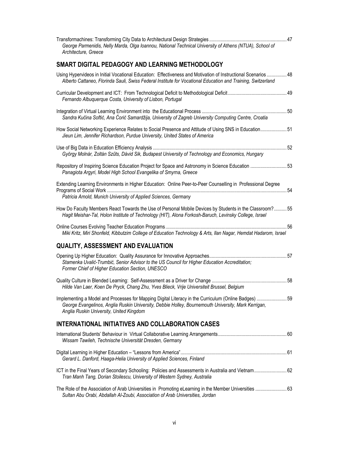| George Parmenidis, Nelly Marda, Olga Ioannou, National Technical University of Athens (NTUA), School of<br>Architecture, Greece                                                                                                                         |  |
|---------------------------------------------------------------------------------------------------------------------------------------------------------------------------------------------------------------------------------------------------------|--|
| SMART DIGITAL PEDAGOGY AND LEARNING METHODOLOGY                                                                                                                                                                                                         |  |
| Using Hypervideos in Initial Vocational Education: Effectiveness and Motivation of Instructional Scenarios  48<br>Alberto Cattaneo, Florinda Sauli, Swiss Federal Institute for Vocational Education and Training, Switzerland                          |  |
| Fernando Albuquerque Costa, University of Lisbon, Portugal                                                                                                                                                                                              |  |
| Sandra Kučina Softić, Ana Ćorić Samardžija, University of Zagreb University Computing Centre, Croatia                                                                                                                                                   |  |
| How Social Networking Experience Relates to Social Presence and Attitude of Using SNS in Education51<br>Jieun Lim, Jennifer Richardson, Purdue University, United States of America                                                                     |  |
| György Molnár, Zoltán Szűts, Dávid Sik, Budapest University of Technology and Economics, Hungary                                                                                                                                                        |  |
| Repository of Inspiring Science Education Project for Space and Astronomy in Science Education 53<br>Panagiota Argyri, Model High School Evangelika of Smyrna, Greece                                                                                   |  |
| Extending Learning Environments in Higher Education: Online Peer-to-Peer Counselling in Professional Degree<br>Patricia Arnold, Munich University of Applied Sciences, Germany                                                                          |  |
| How Do Faculty Members React Towards the Use of Personal Mobile Devices by Students in the Classroom?55<br>Hagit Meishar-Tal, Holon Institute of Technology (HIT), Alona Forkosh-Baruch, Levinsky College, Israel                                       |  |
| Miki Kritz, Miri Shonfeld, Kibbutzim College of Education Technology & Arts, Ilan Nagar, Hemdat Hadarom, Israel                                                                                                                                         |  |
| <b>QUALITY, ASSESSMENT AND EVALUATION</b>                                                                                                                                                                                                               |  |
| Stamenka Uvalić-Trumbić, Senior Advisor to the US Council for Higher Education Accreditation;<br>Former Chief of Higher Education Section, UNESCO                                                                                                       |  |
| Hilde Van Laer, Koen De Pryck, Chang Zhu, Yves Blieck, Vrije Universiteit Brussel, Belgium                                                                                                                                                              |  |
| Implementing a Model and Processes for Mapping Digital Literacy in the Curriculum (Online Badges) 59<br>George Evangelinos, Anglia Ruskin University, Debbie Holley, Bournemouth University, Mark Kerrigan,<br>Anglia Ruskin University, United Kingdom |  |
| INTERNATIONAL INITIATIVES AND COLLABORATION CASES                                                                                                                                                                                                       |  |
| Wissam Tawileh, Technische Universität Dresden, Germany                                                                                                                                                                                                 |  |
| Gerard L. Danford, Haaga-Helia University of Applied Sciences, Finland                                                                                                                                                                                  |  |
| ICT in the Final Years of Secondary Schooling: Policies and Assessments in Australia and Vietnam 62<br>Tran Manh Tang, Dorian Stoilescu, University of Western Sydney, Australia                                                                        |  |
| The Role of the Association of Arab Universities in Promoting eLearning in the Member Universities  63<br>Sultan Abu Orabi, Abdallah Al-Zoubi, Association of Arab Universities, Jordan                                                                 |  |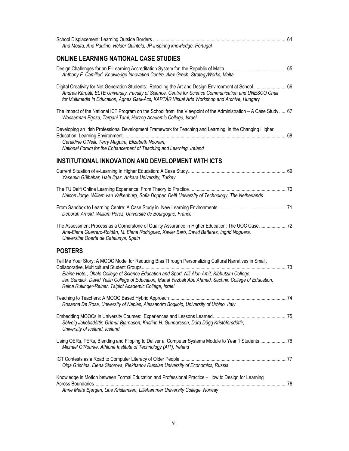| Ana Mouta, Ana Paulino, Hélder Quintela, JP-inspiring knowledge, Portugal                                                                                                                                                                                                                                                                                                     |  |
|-------------------------------------------------------------------------------------------------------------------------------------------------------------------------------------------------------------------------------------------------------------------------------------------------------------------------------------------------------------------------------|--|
| <b>ONLINE LEARNING NATIONAL CASE STUDIES</b>                                                                                                                                                                                                                                                                                                                                  |  |
| Anthony F. Camilleri, Knowledge Innovation Centre, Alex Grech, StrategyWorks, Malta                                                                                                                                                                                                                                                                                           |  |
| Digital Creativity for Net Generation Students: Retooling the Art and Design Environment at School  66<br>Andrea Kárpáti, ELTE University, Faculty of Science, Centre for Science Communication and UNESCO Chair<br>for Multimedia in Education, Ágnes Gaul-Ács, KAPTÁR Visual Arts Workshop and Archive, Hungary                                                             |  |
| The Impact of the National ICT Program on the School from the Viewpoint of the Administration - A Case Study  67<br>Wasserman Egoza, Targani Tami, Herzog Academic College, Israel                                                                                                                                                                                            |  |
| Developing an Irish Professional Development Framework for Teaching and Learning, in the Changing Higher<br>Geraldine O'Neill, Terry Maguire, Elizabeth Noonan,<br>National Forum for the Enhancement of Teaching and Learning, Ireland                                                                                                                                       |  |
| <b>INSTITUTIONAL INNOVATION AND DEVELOPMENT WITH ICTS</b>                                                                                                                                                                                                                                                                                                                     |  |
| Yasemin Gülbahar, Hale Ilgaz, Ankara University, Turkey                                                                                                                                                                                                                                                                                                                       |  |
| Nelson Jorge, Willem van Valkenburg, Sofia Dopper, Delft University of Technology, The Netherlands                                                                                                                                                                                                                                                                            |  |
| Deborah Arnold, William Perez, Université de Bourgogne, France                                                                                                                                                                                                                                                                                                                |  |
| The Assessment Process as a Cornerstone of Quality Assurance in Higher Education: The UOC Case 72<br>Ana-Elena Guerrero-Roldán, M. Elena Rodríguez, Xavier Baró, David Bañeres, Ingrid Noguera,<br>Universitat Oberta de Catalunya, Spain                                                                                                                                     |  |
| <b>POSTERS</b>                                                                                                                                                                                                                                                                                                                                                                |  |
| Tell Me Your Story: A MOOC Model for Reducing Bias Through Personalizing Cultural Narratives in Small,<br>Elaine Hoter, Ohalo College of Science Education and Sport, Nili Alon Amit, Kibbutzim College,<br>Jen Sundick, David Yellin College of Education, Manal Yazbak Abu Ahmad, Sachnin College of Education,<br>Reina Rutlinger-Reiner, Talpiot Academic College, Israel |  |
| Rosanna De Rosa, University of Naples, Alessandro Bogliolo, University of Urbino, Italy                                                                                                                                                                                                                                                                                       |  |
| Sólveig Jakobsdóttir, Grímur Bjarnason, Kristinn H. Gunnarsson, Dóra Dögg Kristófersdóttir,<br>University of Iceland, Iceland                                                                                                                                                                                                                                                 |  |
| Using OERs, PERs, Blending and Flipping to Deliver a Computer Systems Module to Year 1 Students  76<br>Michael O'Rourke, Athlone Institute of Technology (AIT), Ireland                                                                                                                                                                                                       |  |
| Olga Grishina, Elena Sidorova, Plekhanov Russian University of Economics, Russia                                                                                                                                                                                                                                                                                              |  |
| Knowledge in Motion between Formal Education and Professional Practice - How to Design for Learning<br>Anne Mette Bjørgen, Line Kristiansen, Lillehammer University College, Norway                                                                                                                                                                                           |  |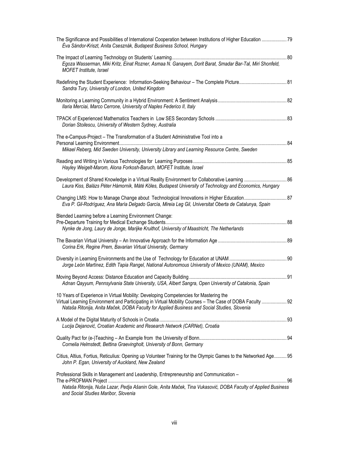| The Significance and Possibilities of International Cooperation between Institutions of Higher Education  79<br>Éva Sándor-Kriszt, Anita Csesznák, Budapest Business School, Hungary                                                                                                               |  |
|----------------------------------------------------------------------------------------------------------------------------------------------------------------------------------------------------------------------------------------------------------------------------------------------------|--|
| Egoza Wasserman, Miki Kritz, Einat Rozner, Asmaa N. Ganayem, Dorit Barat, Smadar Bar-Tal, Miri Shonfeld,<br>MOFET Institute, Israel                                                                                                                                                                |  |
| Redefining the Student Experience: Information-Seeking Behaviour - The Complete Picture 81<br>Sandra Tury, University of London, United Kingdom                                                                                                                                                    |  |
| Ilaria Merciai, Marco Cerrone, University of Naples Federico II, Italy                                                                                                                                                                                                                             |  |
| Dorian Stoilescu, University of Western Sydney, Australia                                                                                                                                                                                                                                          |  |
| The e-Campus-Project - The Transformation of a Student Administrative Tool into a<br>Mikael Reberg, Mid Sweden University, University Library and Learning Resource Centre, Sweden                                                                                                                 |  |
| Hayley Weigelt-Marom, Alona Forkosh-Baruch, MOFET Institute, Israel                                                                                                                                                                                                                                |  |
| Development of Shared Knowledge in a Virtual Reality Environment for Collaborative Learning  86<br>Laura Kiss, Balázs Péter Hámornik, Máté Köles, Budapest University of Technology and Economics, Hungary                                                                                         |  |
| Changing LMS: How to Manage Change about Technological Innovations in Higher Education 87<br>Eva P. Gil-Rodríguez, Ana María Delgado García, Mireia Leg Gil, Universitat Oberta de Catalunya, Spain                                                                                                |  |
| Blended Learning before a Learning Environment Change:<br>Nynke de Jong, Laury de Jonge, Marijke Kruithof, University of Maastricht, The Netherlands                                                                                                                                               |  |
| Corina Erk, Regine Prem, Bavarian Virtual University, Germany                                                                                                                                                                                                                                      |  |
| Jorge León Martínez, Edith Tapia Rangel, National Autonomous University of Mexico (UNAM), Mexico                                                                                                                                                                                                   |  |
| Adnan Qayyum, Pennsylvania State University, USA, Albert Sangra, Open University of Catalonia, Spain                                                                                                                                                                                               |  |
| 10 Years of Experience in Virtual Mobility: Developing Competencies for Mastering the<br>Virtual Learning Environment and Participating in Virtual Mobility Courses - The Case of DOBA Faculty  92<br>Nataša Ritonija, Anita Maček, DOBA Faculty for Applied Business and Social Studies, Slovenia |  |
| Lucija Dejanović, Croatian Academic and Research Network (CARNet), Croatia                                                                                                                                                                                                                         |  |
| Cornelia Helmstedt, Bettina Graevingholt, University of Bonn, Germany                                                                                                                                                                                                                              |  |
| Citius, Altius, Fortius, Reticulius: Opening up Volunteer Training for the Olympic Games to the Networked Age 95<br>John P. Egan, University of Auckland, New Zealand                                                                                                                              |  |
| Professional Skills in Management and Leadership, Entrepreneurship and Communication -<br>Nataša Ritonija, Nuša Lazar, Pedja Ašanin Gole, Anita Maček, Tina Vukasović, DOBA Faculty of Applied Business<br>and Social Studies Maribor, Slovenia                                                    |  |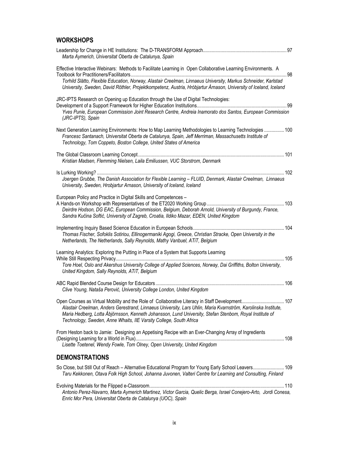## **WORKSHOPS**

| Marta Aymerich, Universitat Oberta de Catalunya, Spain                                                                                                                                                                                                                                                                                                                                                 |
|--------------------------------------------------------------------------------------------------------------------------------------------------------------------------------------------------------------------------------------------------------------------------------------------------------------------------------------------------------------------------------------------------------|
| Effective Interactive Webinars: Methods to Facilitate Learning in Open Collaborative Learning Environments. A<br>Torhild Slåtto, Flexible Education, Norway, Alastair Creelman, Linnaeus University, Markus Schneider, Karlstad<br>University, Sweden, David Röthler, Projektkompetenz, Austria, Hróbjartur Árnason, University of Iceland, Iceland                                                    |
| JRC-IPTS Research on Opening up Education through the Use of Digital Technologies:<br>Yves Punie, European Commission Joint Research Centre, Andreia Inamorato dos Santos, European Commission                                                                                                                                                                                                         |
| (JRC-IPTS), Spain<br>Next Generation Learning Environments: How to Map Learning Methodologies to Learning Technologies  100<br>Francesc Santanach, Universitat Oberta de Catalunya, Spain, Jeff Merriman, Massachusetts Institute of<br>Technology, Tom Coppeto, Boston College, United States of America                                                                                              |
| Kristian Madsen, Flemming Nielsen, Laila Emiliussen, VUC Storstrom, Denmark                                                                                                                                                                                                                                                                                                                            |
| Joergen Grubbe, The Danish Association for Flexible Learning - FLUID, Denmark, Alastair Creelman, Linnaeus<br>University, Sweden, Hrobjartur Arnason, University of Iceland, Iceland                                                                                                                                                                                                                   |
| European Policy and Practice in Digital Skills and Competences -<br>Deirdre Hodson, DG EAC, European Commission, Belgium, Deborah Arnold, University of Burgundy, France,<br>Sandra Kučina Softić, University of Zagreb, Croatia, Ildiko Mazar, EDEN, United Kingdom                                                                                                                                   |
| Thomas Fischer, Sofoklis Sotiriou, Ellinogermaniki Agogi, Greece, Christian Stracke, Open University in the<br>Netherlands, The Netherlands, Sally Reynolds, Mathy Vanbuel, ATiT, Belgium                                                                                                                                                                                                              |
| Learning Analytics: Exploring the Putting in Place of a System that Supports Learning<br>Tore Hoel, Oslo and Akershus University College of Applied Sciences, Norway, Dai Griffiths, Bolton University,<br>United Kingdom, Sally Reynolds, ATiT, Belgium                                                                                                                                               |
| Clive Young, Nataša Perović, University College London, United Kingdom                                                                                                                                                                                                                                                                                                                                 |
| Open Courses as Virtual Mobility and the Role of Collaborative Literacy in Staff Development<br>107<br>Alastair Creelman, Anders Gerestrand, Linnaeus University, Lars Uhlin, Maria Kvarnström, Karolinska Institute,<br>Maria Hedberg, Lotta Åbjörnsson, Kenneth Johansson, Lund University, Stefan Stenbom, Royal Institute of<br>Technology, Sweden, Anne Whaits, IIE Varsity College, South Africa |
| From Heston back to Jamie: Designing an Appetising Recipe with an Ever-Changing Array of Ingredients<br>Lisette Toetenel, Wendy Fowle, Tom Olney, Open University, United Kingdom                                                                                                                                                                                                                      |
| <b>DEMONSTRATIONS</b>                                                                                                                                                                                                                                                                                                                                                                                  |
| So Close, but Still Out of Reach - Alternative Educational Program for Young Early School Leavers 109<br>Taru Kekkonen, Otava Folk High School, Johanna Juvonen, Valteri Centre for Learning and Consulting, Finland                                                                                                                                                                                   |
| Antonio Perez-Navarro, Marta Aymerich Martinez, Victor Garcia, Quelic Berga, Israel Conejero-Arto, Jordi Conesa,<br>Enric Mor Pera, Universitat Oberta de Catalunya (UOC), Spain                                                                                                                                                                                                                       |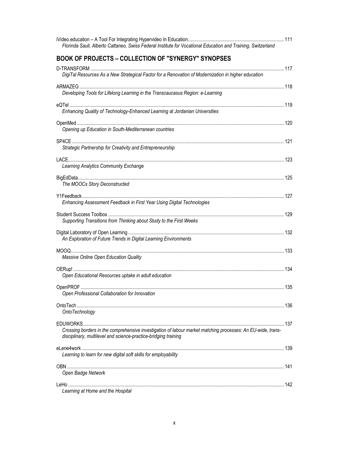| Florinda Sauli, Alberto Cattaneo, Swiss Federal Institute for Vocational Education and Training, Switzerland                                                                   |  |
|--------------------------------------------------------------------------------------------------------------------------------------------------------------------------------|--|
| <b>BOOK OF PROJECTS - COLLECTION OF "SYNERGY" SYNOPSES</b>                                                                                                                     |  |
| DigiTal Resources As a New Strategical Factor for a Renovation of Modernization in higher education                                                                            |  |
| Developing Tools for Lifelong Learning in the Transcaucasus Region: e-Learning                                                                                                 |  |
| Enhancing Quality of Technology-Enhanced Learning at Jordanian Universities                                                                                                    |  |
| Opening up Education in South-Mediterranean countries                                                                                                                          |  |
| Strategic Partnership for Creativity and Entrepreneurship                                                                                                                      |  |
| Learning Analytics Community Exchange                                                                                                                                          |  |
| The MOOCs Story Deconstructed                                                                                                                                                  |  |
| Enhancing Assessment Feedback in First Year Using Digital Technologies                                                                                                         |  |
| Supporting Transitions from Thinking about Study to the First Weeks                                                                                                            |  |
| An Exploration of Future Trends in Digital Learning Environments                                                                                                               |  |
| Massive Online Open Education Quality                                                                                                                                          |  |
| Open Educational Resources uptake in adult education                                                                                                                           |  |
| Open Professional Collaboration for Innovation                                                                                                                                 |  |
| OntoTechnology                                                                                                                                                                 |  |
| Crossing borders in the comprehensive investigation of labour market matching processes: An EU-wide, trans-<br>disciplinary, multilevel and science-practice-bridging training |  |
| Learning to learn for new digital soft skills for employability                                                                                                                |  |
| Open Badge Network                                                                                                                                                             |  |
|                                                                                                                                                                                |  |
| Learning at Home and the Hospital                                                                                                                                              |  |